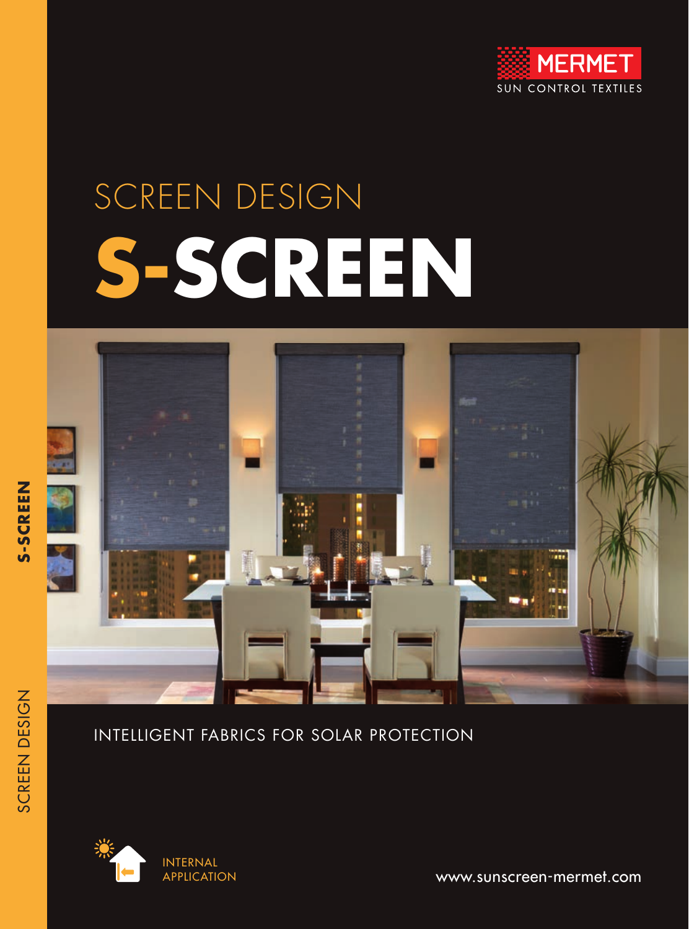

# SCREEN DESIGN **S-SCREEN**



#### INTELLIGENT FABRICS FOR SOLAR PROTECTION



www.sunscreen-mermet.com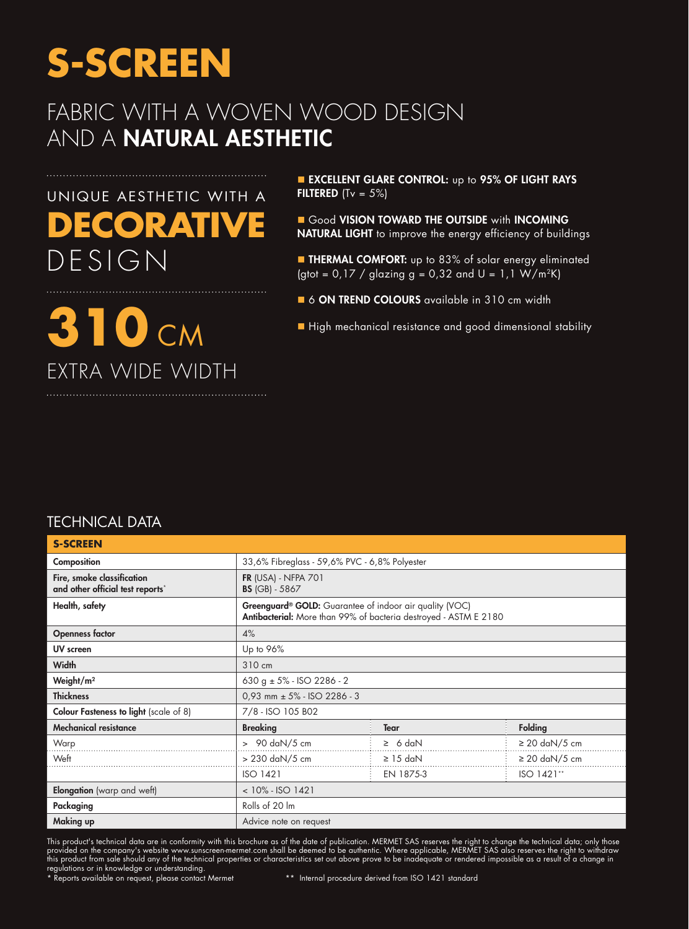### FABRIC WITH A WOVEN WOOD DESIGN AND A NATURAL AESTHETIC

# UNIQUE AESTHETIC WITH A **DECORATIVE** DESIGN

**310** CM

EXTRA WIDE WIDTH

**EXCELLENT GLARE CONTROL:** up to 95% OF LIGHT RAYS **FILTERED** (Tv =  $5\%$ )

 $\blacksquare$  Good VISION TOWARD THE OUTSIDE with INCOMING NATURAL LIGHT to improve the energy efficiency of buildings

**n** THERMAL COMFORT: up to 83% of solar energy eliminated (gtot =  $0.17 /$  glazing g =  $0.32$  and U =  $1.1 \text{ W/m}^2\text{K}$ )

6 ON TREND COLOURS available in 310 cm width

■ High mechanical resistance and good dimensional stability

#### TECHNICAL DATA

| <b>S-SCREEN</b>                                                |                                                                                                                                         |               |                    |  |  |  |
|----------------------------------------------------------------|-----------------------------------------------------------------------------------------------------------------------------------------|---------------|--------------------|--|--|--|
| Composition                                                    | 33,6% Fibreglass - 59,6% PVC - 6,8% Polyester                                                                                           |               |                    |  |  |  |
| Fire, smoke classification<br>and other official test reports* | <b>FR (USA) - NFPA 701</b><br><b>BS</b> (GB) - 5867                                                                                     |               |                    |  |  |  |
| Health, safety                                                 | Greenguard <sup>®</sup> GOLD: Guarantee of indoor air quality (VOC)<br>Antibacterial: More than 99% of bacteria destroyed - ASTM E 2180 |               |                    |  |  |  |
| <b>Openness factor</b>                                         | 4%                                                                                                                                      |               |                    |  |  |  |
| UV screen                                                      | Up to 96%                                                                                                                               |               |                    |  |  |  |
| <b>Width</b>                                                   | 310 cm                                                                                                                                  |               |                    |  |  |  |
| Weight/m <sup>2</sup>                                          | 630 g $\pm$ 5% - ISO 2286 - 2                                                                                                           |               |                    |  |  |  |
| <b>Thickness</b>                                               | $0,93$ mm $\pm$ 5% - ISO 2286 - 3                                                                                                       |               |                    |  |  |  |
| <b>Colour Fasteness to light</b> (scale of 8)                  | 7/8 - ISO 105 B02                                                                                                                       |               |                    |  |  |  |
| <b>Mechanical resistance</b>                                   | <b>Breaking</b>                                                                                                                         | <b>Tear</b>   | Folding            |  |  |  |
| Warp                                                           | $> 90$ daN/5 cm                                                                                                                         | $\geq$ 6 daN  | $\geq$ 20 daN/5 cm |  |  |  |
| Weft                                                           | > 230 daN/5 cm                                                                                                                          | $\geq$ 15 daN | $\geq$ 20 daN/5 cm |  |  |  |
|                                                                | <b>ISO 1421</b>                                                                                                                         | EN 1875-3     | ISO 1421**         |  |  |  |
| <b>Elongation</b> (warp and weft)                              | $< 10\% - ISO 1421$                                                                                                                     |               |                    |  |  |  |
| Packaging                                                      | Rolls of 20 lm                                                                                                                          |               |                    |  |  |  |
| Making up                                                      | Advice note on request                                                                                                                  |               |                    |  |  |  |

This product's technical data are in conformity with this brochure as of the date of publication. MERMET SAS reserves the right to change the technical data; only those provided on the company's website www.sunscreen-mermet.com shall be deemed to be authentic. Where applicable, MERMET SAS also reserves the right to withdraw this product from sale should any of the technical properties or characteristics set out above prove to be inadequate or rendered impossible as a result of a change in regulations or in knowledge or understanding.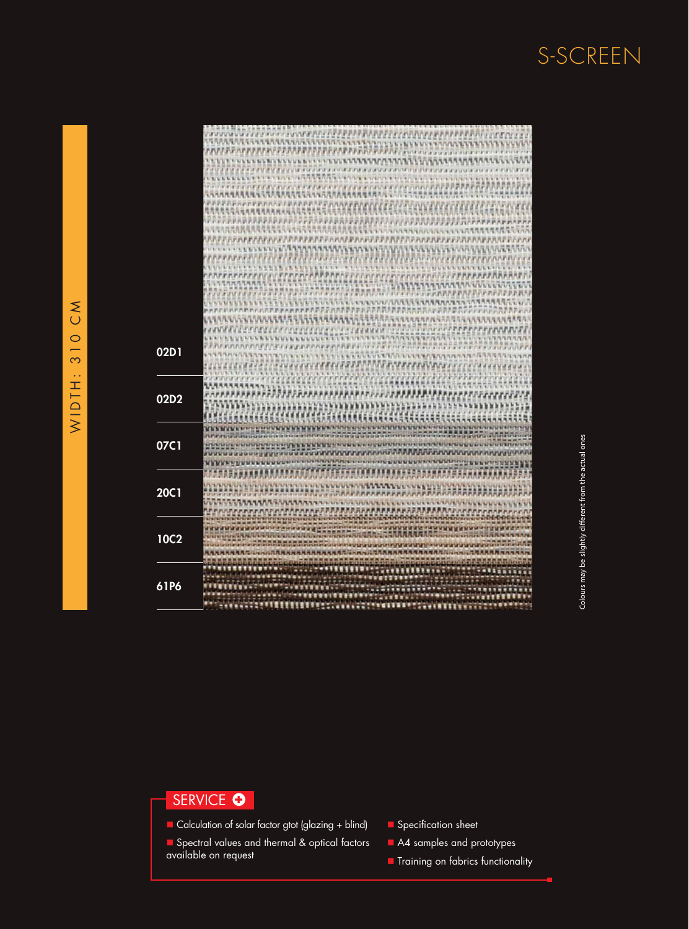

#### SERVICE O

- $\blacksquare$  Calculation of solar factor gtot (glazing + blind)
- Spectral values and thermal & optical factors available on request
- Specification sheet
- A4 samples and prototypes
- **n** Training on fabrics functionality

#### $\sum_{i=1}^{n}$ WIDTH: 310 CM $\circ$  $\infty$ v. WIDTH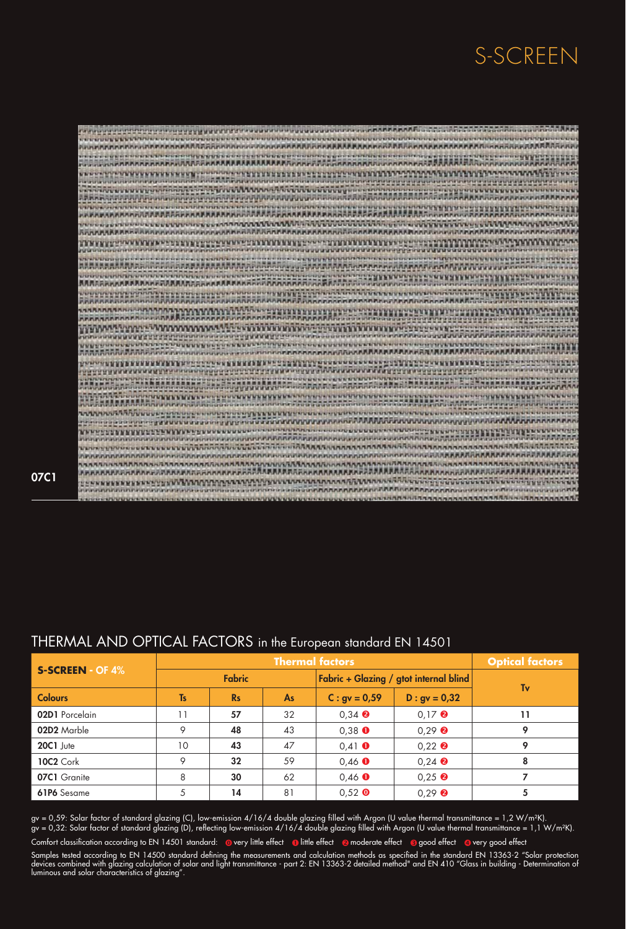| <b>STREET</b>                                                                                                                                                                                                                                 |
|-----------------------------------------------------------------------------------------------------------------------------------------------------------------------------------------------------------------------------------------------|
| <b>AAAAAAAAAAAAAAAA</b><br>mm                                                                                                                                                                                                                 |
| RREPORTERUNG ERFEITETTE GETTEN GETTEGEN DIE EINE EINE GEREICHTEN EINE EINE EINE EINE<br>stsiyardı                                                                                                                                             |
|                                                                                                                                                                                                                                               |
|                                                                                                                                                                                                                                               |
|                                                                                                                                                                                                                                               |
|                                                                                                                                                                                                                                               |
|                                                                                                                                                                                                                                               |
| 17979                                                                                                                                                                                                                                         |
|                                                                                                                                                                                                                                               |
| <b>BERT</b>                                                                                                                                                                                                                                   |
| ,,,,,,,,,,,,,,,,,,,,,,,,,,,,,,,,,,,,,                                                                                                                                                                                                         |
|                                                                                                                                                                                                                                               |
| <b><i><u><u> ANTERNATION AND ANTESTIMATE</u></u></i></b><br><b>ALCOHOL</b>                                                                                                                                                                    |
| <b>STATEFORD STATEFORD STATEFORD STATEFORD AND ALL AND STATEFORD STATEFORD STATEFORD STATEFORD STATEFORD STATEFORD STATEFORD STATEFORD STATEFORD STATEFORD STATEFORD STATEFORD STATEFORD STATEFORD STATEFORD STATEFORD STATEFORD</b><br>57579 |
| 风光的                                                                                                                                                                                                                                           |
| <b>BEFREITEREN</b><br><b><i><u>A A constantino de la constantida de la constantida de la constantida de la constantida de la constantida de la</u></i></b>                                                                                    |
|                                                                                                                                                                                                                                               |
| <b>VSENSIVE ACTIVITY OF CONTRACTOR CONSISTENTIAL</b>                                                                                                                                                                                          |
| 11, 11, 11,                                                                                                                                                                                                                                   |
| <b>BRAARAAAAAAAAAAAAAAAAAAAAAAAAA</b>                                                                                                                                                                                                         |
|                                                                                                                                                                                                                                               |
|                                                                                                                                                                                                                                               |
| <b>SECURENCE SECOND STATE REVENUE AT A TELEVISION</b>                                                                                                                                                                                         |
| 調局                                                                                                                                                                                                                                            |
| <br><b>SPATE</b>                                                                                                                                                                                                                              |
| <b>POSTER PRODUCTION CONTRACTOR</b><br>คลินที่สุดจากเกล่าการทำงานของเขาจากจากจากเกิดขึ้นขอ                                                                                                                                                    |
| <b>MACHINES ACTIVITY OF STREET AND A REPORTED ASSESSED.</b>                                                                                                                                                                                   |
|                                                                                                                                                                                                                                               |
| <b>WENTHERN CONTRACTORSHIPS</b><br><b>PERPERTY APPROXIMATE A PERSONAL PROPERTY</b>                                                                                                                                                            |
| <b>AND</b>                                                                                                                                                                                                                                    |
| <b>The proprieties in the contraction of the proprieties of the contraction of the contraction of the contraction</b><br>n.nr                                                                                                                 |
|                                                                                                                                                                                                                                               |
| <b><i>IVERSIVE</i></b>                                                                                                                                                                                                                        |
| <b>PERMITTENTALISM</b><br><b>MAMMAD A PERSONAL PROPERTY AND INCOME.</b><br><b>Viii</b>                                                                                                                                                        |
| <b>WERE PRESENTED FOR ASSAULT AND RESIDENCE</b><br><b>WAINTED</b>                                                                                                                                                                             |
|                                                                                                                                                                                                                                               |
| <b>MAAAAAAAANAAAA</b> A<br><b>ARABAAAAAAAAABARAAAAAA</b>                                                                                                                                                                                      |
|                                                                                                                                                                                                                                               |
|                                                                                                                                                                                                                                               |
| <b>ALLEY</b>                                                                                                                                                                                                                                  |
|                                                                                                                                                                                                                                               |

07C1

#### THERMAL AND OPTICAL FACTORS in the European standard EN 14501

| <b>S-SCREEN - OF 4%</b> | <b>Thermal factors</b> |           |           |                                        |                                      | <b>Optical factors</b> |
|-------------------------|------------------------|-----------|-----------|----------------------------------------|--------------------------------------|------------------------|
|                         | <b>Fabric</b>          |           |           | Fabric + Glazing / gtot internal blind |                                      | Tv                     |
| <b>Colours</b>          | <b>Ts</b>              | <b>Rs</b> | <b>As</b> | $C: gy = 0.59$                         | $D : gv = 0,32$                      |                        |
| 02D1 Porcelain          | 11                     | 57        | 32        | $0,34$ <b><math>\odot</math></b>       | $0.17$ <b><math>\odot</math></b>     | 11                     |
| 02D2 Marble             | 9                      | 48        | 43        | $0,38$ $\bullet$                       | $0.29$ <b><math>\odot</math></b>     | Q                      |
| 20C1 Jute               | 10                     | 43        | 47        | $0,41$ $\bullet$                       | $0.22$ <b><math>\odot</math></b>     | Q                      |
| <b>10C2 Cork</b>        | 9                      | 32        | 59        | $0,46$ $\bullet$                       | $0,24$ <sup><math>\odot</math></sup> | 8                      |
| 07C1 Granite            | 8                      | 30        | 62        | $0,46$ $\bullet$                       | $0,25$ <b><math>\odot</math></b>     |                        |
| 61P6 Sesame             | 5                      | 14        | 81        | $0.52$ O                               | $0.29$ <b><math>\odot</math></b>     | 5                      |

gv = 0,59: Solar factor of standard glazing (C), low-emission 4/16/4 double glazing filled with Argon (U value thermal transmittance = 1,2 W/m²K). gv = 0,32: Solar factor of standard glazing (D), reflecting low-emission 4/16/4 double glazing filled with Argon (U value thermal transmittance = 1,1 W/m²K).

Comfort classification according to EN 14501 standard: @very little effect @little effect @moderate effect @good effect @very good effect

Samples tested according to EN 14500 standard defining the measurements and calculation methods as specified in the standard EN 13363-2 "Solar protection devices combined with glazing calculation of solar and light transmittance - part 2: EN 13363-2 detailed method" and EN 410 "Glass in building - Determination of luminous and solar characteristics of glazing".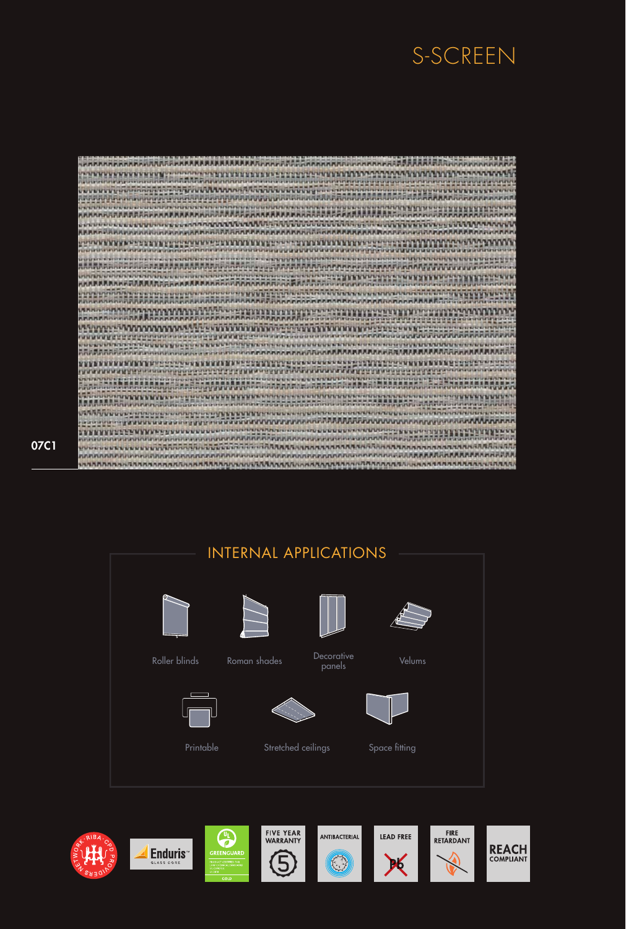